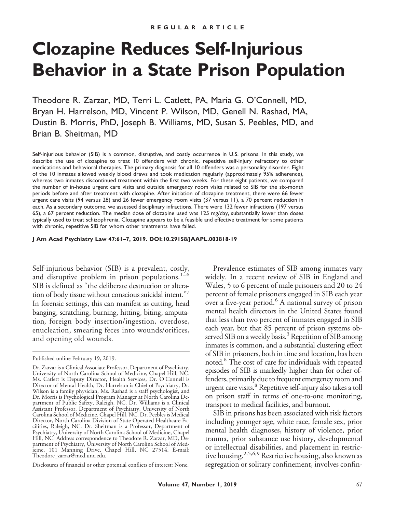# **Clozapine Reduces Self-Injurious Behavior in a State Prison Population**

Theodore R. Zarzar, MD, Terri L. Catlett, PA, Maria G. O'Connell, MD, Bryan H. Harrelson, MD, Vincent P. Wilson, MD, Genell N. Rashad, MA, Dustin B. Morris, PhD, Joseph B. Williams, MD, Susan S. Peebles, MD, and Brian B. Sheitman, MD

Self-injurious behavior (SIB) is a common, disruptive, and costly occurrence in U.S. prisons. In this study, we describe the use of clozapine to treat 10 offenders with chronic, repetitive self-injury refractory to other medications and behavioral therapies. The primary diagnosis for all 10 offenders was a personality disorder. Eight of the 10 inmates allowed weekly blood draws and took medication regularly (approximately 95% adherence), whereas two inmates discontinued treatment within the first two weeks. For these eight patients, we compared the number of in-house urgent care visits and outside emergency room visits related to SIB for the six-month periods before and after treatment with clozapine. After initiation of clozapine treatment, there were 66 fewer urgent care visits (94 versus 28) and 26 fewer emergency room visits (37 versus 11), a 70 percent reduction in each. As a secondary outcome, we assessed disciplinary infractions. There were 132 fewer infractions (197 versus 65), a 67 percent reduction. The median dose of clozapine used was 125 mg/day, substantially lower than doses typically used to treat schizophrenia. Clozapine appears to be a feasible and effective treatment for some patients with chronic, repetitive SIB for whom other treatments have failed.

**J Am Acad Psychiatry Law 47:61–7, 2019. DOI:10.29158/JAAPL.003818-19**

Self-injurious behavior (SIB) is a prevalent, costly, and disruptive problem in prison populations.<sup>1-6</sup> SIB is defined as "the deliberate destruction or alteration of body tissue without conscious suicidal intent."7 In forensic settings, this can manifest as cutting, head banging, scratching, burning, hitting, biting, amputation, foreign body insertion/ingestion, overdose, enucleation, smearing feces into wounds/orifices, and opening old wounds.

Disclosures of financial or other potential conflicts of interest: None.

Prevalence estimates of SIB among inmates vary widely. In a recent review of SIB in England and Wales, 5 to 6 percent of male prisoners and 20 to 24 percent of female prisoners engaged in SIB each year over a five-year period.<sup>6</sup> A national survey of prison mental health directors in the United States found that less than two percent of inmates engaged in SIB each year, but that 85 percent of prison systems observed SIB on a weekly basis.<sup>3</sup> Repetition of SIB among inmates is common, and a substantial clustering effect of SIB in prisoners, both in time and location, has been noted.<sup>6</sup> The cost of care for individuals with repeated episodes of SIB is markedly higher than for other offenders, primarily due to frequent emergency room and urgent care visits.<sup>8</sup> Repetitive self-injury also takes a toll on prison staff in terms of one-to-one monitoring, transport to medical facilities, and burnout.

SIB in prisons has been associated with risk factors including younger age, white race, female sex, prior mental health diagnoses, history of violence, prior trauma, prior substance use history, developmental or intellectual disabilities, and placement in restrictive housing.<sup>2,5,6,9</sup> Restrictive housing, also known as segregation or solitary confinement, involves confin-

Published online February 19, 2019.

Dr. Zarzar is a Clinical Associate Professor, Department of Psychiatry, University of North Carolina School of Medicine, Chapel Hill, NC. Ms. Catlett is Deputy Director, Health Services, Dr. O'Connell is Director of Mental Health, Dr. Harrelson is Chief of Psychiatry, Dr. Wilson is a family physician, Ms. Rashad is a staff psychologist, and Dr. Morris is Psychological Program Manager at North Carolina Department of Public Safety, Raleigh, NC. Dr. Williams is a Clinical Assistant Professor, Department of Psychiatry, University of North Carolina School of Medicine, Chapel Hill, NC. Dr. Peebles is Medical Director, North Carolina Division of State Operated Healthcare Facilities, Raleigh, NC. Dr. Sheitman is a Professor, Department of Psychiatry, University of North Carolina School of Medicine, Chapel Hill, NC. Address correspondence to Theodore R. Zarzar, MD, Department of Psychiatry, University of North Carolina School of Medicine, 101 Manning Drive, Chapel Hill, NC 27514. E-mail: Theodore\_zarzar@med.unc.edu.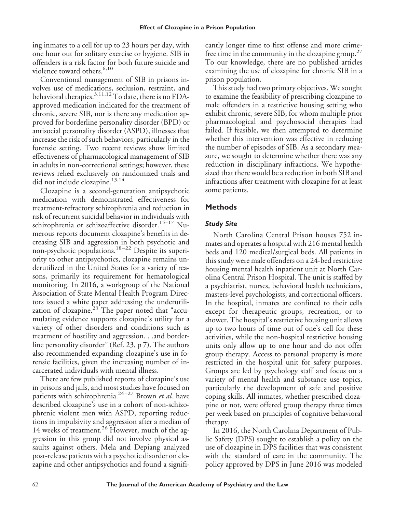ing inmates to a cell for up to 23 hours per day, with one hour out for solitary exercise or hygiene. SIB in offenders is a risk factor for both future suicide and violence toward others.<sup>6,10</sup>

Conventional management of SIB in prisons involves use of medications, seclusion, restraint, and behavioral therapies.<sup>3,11,12</sup> To date, there is no FDAapproved medication indicated for the treatment of chronic, severe SIB, nor is there any medication approved for borderline personality disorder (BPD) or antisocial personality disorder (ASPD), illnesses that increase the risk of such behaviors, particularly in the forensic setting. Two recent reviews show limited effectiveness of pharmacological management of SIB in adults in non-correctional settings; however, these reviews relied exclusively on randomized trials and did not include clozapine.<sup>13,14</sup>

Clozapine is a second-generation antipsychotic medication with demonstrated effectiveness for treatment-refractory schizophrenia and reduction in risk of recurrent suicidal behavior in individuals with schizophrenia or schizoaffective disorder.<sup>15-17</sup> Numerous reports document clozapine's benefits in decreasing SIB and aggression in both psychotic and non-psychotic populations.<sup>18-22</sup> Despite its superiority to other antipsychotics, clozapine remains underutilized in the United States for a variety of reasons, primarily its requirement for hematological monitoring. In 2016, a workgroup of the National Association of State Mental Health Program Directors issued a white paper addressing the underutilization of clozapine. $23$ <sup>T</sup>he paper noted that "accumulating evidence supports clozapine's utility for a variety of other disorders and conditions such as treatment of hostility and aggression. . .and borderline personality disorder" (Ref. 23, p 7). The authors also recommended expanding clozapine's use in forensic facilities, given the increasing number of incarcerated individuals with mental illness.

There are few published reports of clozapine's use in prisons and jails, and most studies have focused on patients with schizophrenia.<sup>24-27</sup> Brown *et al.* have described clozapine's use in a cohort of non-schizophrenic violent men with ASPD, reporting reductions in impulsivity and aggression after a median of 14 weeks of treatment.<sup>26</sup> However, much of the aggression in this group did not involve physical assaults against others. Mela and Depiang analyzed post-release patients with a psychotic disorder on clozapine and other antipsychotics and found a significantly longer time to first offense and more crimefree time in the community in the clozapine group.<sup>27</sup> To our knowledge, there are no published articles examining the use of clozapine for chronic SIB in a prison population.

This study had two primary objectives. We sought to examine the feasibility of prescribing clozapine to male offenders in a restrictive housing setting who exhibit chronic, severe SIB, for whom multiple prior pharmacological and psychosocial therapies had failed. If feasible, we then attempted to determine whether this intervention was effective in reducing the number of episodes of SIB. As a secondary measure, we sought to determine whether there was any reduction in disciplinary infractions. We hypothesized that there would be a reduction in both SIB and infractions after treatment with clozapine for at least some patients.

## **Methods**

#### *Study Site*

North Carolina Central Prison houses 752 inmates and operates a hospital with 216 mental health beds and 120 medical/surgical beds. All patients in this study were male offenders on a 24-bed restrictive housing mental health inpatient unit at North Carolina Central Prison Hospital. The unit is staffed by a psychiatrist, nurses, behavioral health technicians, masters-level psychologists, and correctional officers. In the hospital, inmates are confined to their cells except for therapeutic groups, recreation, or to shower. The hospital's restrictive housing unit allows up to two hours of time out of one's cell for these activities, while the non-hospital restrictive housing units only allow up to one hour and do not offer group therapy. Access to personal property is more restricted in the hospital unit for safety purposes. Groups are led by psychology staff and focus on a variety of mental health and substance use topics, particularly the development of safe and positive coping skills. All inmates, whether prescribed clozapine or not, were offered group therapy three times per week based on principles of cognitive behavioral therapy.

In 2016, the North Carolina Department of Public Safety (DPS) sought to establish a policy on the use of clozapine in DPS facilities that was consistent with the standard of care in the community. The policy approved by DPS in June 2016 was modeled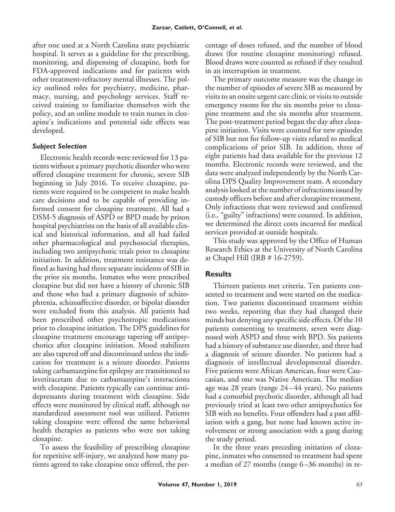after one used at a North Carolina state psychiatric hospital. It serves as a guideline for the prescribing, monitoring, and dispensing of clozapine, both for FDA-approved indications and for patients with other treatment-refractory mental illnesses. The policy outlined roles for psychiatry, medicine, pharmacy, nursing, and psychology services. Staff received training to familiarize themselves with the policy, and an online module to train nurses in clozapine's indications and potential side effects was developed.

## *Subject Selection*

Electronic health records were reviewed for 13 patients without a primary psychotic disorder who were offered clozapine treatment for chronic, severe SIB beginning in July 2016. To receive clozapine, patients were required to be competent to make health care decisions and to be capable of providing informed consent for clozapine treatment. All had a DSM-5 diagnosis of ASPD or BPD made by prison hospital psychiatrists on the basis of all available clinical and historical information, and all had failed other pharmacological and psychosocial therapies, including two antipsychotic trials prior to clozapine initiation. In addition, treatment resistance was defined as having had three separate incidents of SIB in the prior six months. Inmates who were prescribed clozapine but did not have a history of chronic SIB and those who had a primary diagnosis of schizophrenia, schizoaffective disorder, or bipolar disorder were excluded from this analysis. All patients had been prescribed other psychotropic medications prior to clozapine initiation. The DPS guidelines for clozapine treatment encourage tapering off antipsychotics after clozapine initiation. Mood stabilizers are also tapered off and discontinued unless the indication for treatment is a seizure disorder. Patients taking carbamazepine for epilepsy are transitioned to levetiracetam due to carbamazepine's interactions with clozapine. Patients typically can continue antidepressants during treatment with clozapine. Side effects were monitored by clinical staff, although no standardized assessment tool was utilized. Patients taking clozapine were offered the same behavioral health therapies as patients who were not taking clozapine.

To assess the feasibility of prescribing clozapine for repetitive self-injury, we analyzed how many patients agreed to take clozapine once offered, the percentage of doses refused, and the number of blood draws (for routine clozapine monitoring) refused. Blood draws were counted as refused if they resulted in an interruption in treatment.

The primary outcome measure was the change in the number of episodes of severe SIB as measured by visits to an onsite urgent care clinic or visits to outside emergency rooms for the six months prior to clozapine treatment and the six months after treatment. The post-treatment period began the day after clozapine initiation. Visits were counted for new episodes of SIB but not for follow-up visits related to medical complications of prior SIB. In addition, three of eight patients had data available for the previous 12 months. Electronic records were reviewed, and the data were analyzed independently by the North Carolina DPS Quality Improvement team. A secondary analysis looked at the number of infractions issued by custody officers before and after clozapine treatment. Only infractions that were reviewed and confirmed (i.e., "guilty" infractions) were counted. In addition, we determined the direct costs incurred for medical services provided at outside hospitals.

This study was approved by the Office of Human Research Ethics at the University of North Carolina at Chapel Hill (IRB # 16-2759).

# **Results**

Thirteen patients met criteria. Ten patients consented to treatment and were started on the medication. Two patients discontinued treatment within two weeks, reporting that they had changed their minds but denying any specific side effects. Of the 10 patients consenting to treatment, seven were diagnosed with ASPD and three with BPD. Six patients had a history of substance use disorder, and three had a diagnosis of seizure disorder. No patients had a diagnosis of intellectual developmental disorder. Five patients were African American, four were Caucasian, and one was Native American. The median age was 28 years (range 24 – 44 years). No patients had a comorbid psychotic disorder, although all had previously tried at least two other antipsychotics for SIB with no benefits. Four offenders had a past affiliation with a gang, but none had known active involvement or strong association with a gang during the study period.

In the three years preceding initiation of clozapine, inmates who consented to treatment had spent a median of 27 months (range 6 –36 months) in re-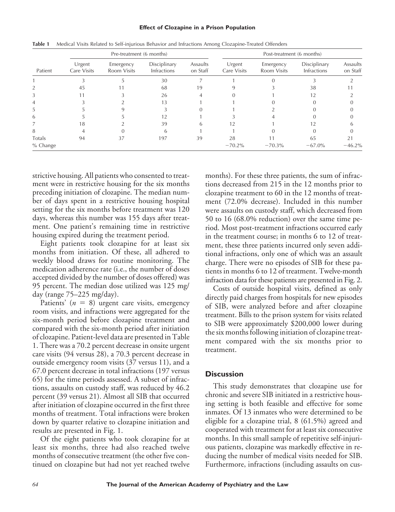#### **Effect of Clozapine in a Prison Population**

| Patient  | Pre-treatment (6 months) |                          |                                    |                      | Post-treatment (6 months) |                          |                             |                      |
|----------|--------------------------|--------------------------|------------------------------------|----------------------|---------------------------|--------------------------|-----------------------------|----------------------|
|          | Urgent<br>Care Visits    | Emergency<br>Room Visits | Disciplinary<br><b>Infractions</b> | Assaults<br>on Staff | Urgent<br>Care Visits     | Emergency<br>Room Visits | Disciplinary<br>Infractions | Assaults<br>on Staff |
|          |                          |                          | 30                                 |                      |                           |                          |                             |                      |
|          | 45                       |                          | 68                                 | 19                   |                           |                          | 38                          |                      |
|          |                          |                          | 26                                 |                      |                           |                          | 12                          |                      |
|          |                          |                          | 13                                 |                      |                           |                          |                             |                      |
| 5        |                          |                          |                                    |                      |                           |                          |                             |                      |
| 6        |                          |                          |                                    |                      |                           |                          |                             |                      |
|          | 18                       |                          | 39                                 |                      | 12                        |                          | 12                          |                      |
| 8        |                          |                          |                                    |                      |                           |                          |                             |                      |
| Totals   | 94                       | 37                       | 197                                | 39                   | 28                        |                          | 65                          | 21                   |
| % Change |                          |                          |                                    |                      | $-70.2%$                  | $-70.3%$                 | $-67.0\%$                   | $-46.2%$             |

**Table 1** Medical Visits Related to Self-injurious Behavior and Infractions Among Clozapine-Treated Offenders

strictive housing. All patients who consented to treatment were in restrictive housing for the six months preceding initiation of clozapine. The median number of days spent in a restrictive housing hospital setting for the six months before treatment was 120 days, whereas this number was 155 days after treatment. One patient's remaining time in restrictive housing expired during the treatment period.

Eight patients took clozapine for at least six months from initiation. Of these, all adhered to weekly blood draws for routine monitoring. The medication adherence rate (i.e., the number of doses accepted divided by the number of doses offered) was 95 percent. The median dose utilized was 125 mg/ day (range 75–225 mg/day).

Patients'  $(n = 8)$  urgent care visits, emergency room visits, and infractions were aggregated for the six-month period before clozapine treatment and compared with the six-month period after initiation of clozapine. Patient-level data are presented in Table 1. There was a 70.2 percent decrease in onsite urgent care visits (94 versus 28), a 70.3 percent decrease in outside emergency room visits (37 versus 11), and a 67.0 percent decrease in total infractions (197 versus 65) for the time periods assessed. A subset of infractions, assaults on custody staff, was reduced by 46.2 percent (39 versus 21). Almost all SIB that occurred after initiation of clozapine occurred in the first three months of treatment. Total infractions were broken down by quarter relative to clozapine initiation and results are presented in Fig. 1.

Of the eight patients who took clozapine for at least six months, three had also reached twelve months of consecutive treatment (the other five continued on clozapine but had not yet reached twelve months). For these three patients, the sum of infractions decreased from 215 in the 12 months prior to clozapine treatment to 60 in the 12 months of treatment (72.0% decrease). Included in this number were assaults on custody staff, which decreased from 50 to 16 (68.0% reduction) over the same time period. Most post-treatment infractions occurred early in the treatment course; in months 6 to 12 of treatment, these three patients incurred only seven additional infractions, only one of which was an assault charge. There were no episodes of SIB for these patients in months 6 to 12 of treatment. Twelve-month infraction data for these patients are presented in Fig. 2.

Costs of outside hospital visits, defined as only directly paid charges from hospitals for new episodes of SIB, were analyzed before and after clozapine treatment. Bills to the prison system for visits related to SIB were approximately \$200,000 lower during the six months following initiation of clozapine treatment compared with the six months prior to treatment.

### **Discussion**

This study demonstrates that clozapine use for chronic and severe SIB initiated in a restrictive housing setting is both feasible and effective for some inmates. Of 13 inmates who were determined to be eligible for a clozapine trial, 8 (61.5%) agreed and cooperated with treatment for at least six consecutive months. In this small sample of repetitive self-injurious patients, clozapine was markedly effective in reducing the number of medical visits needed for SIB. Furthermore, infractions (including assaults on cus-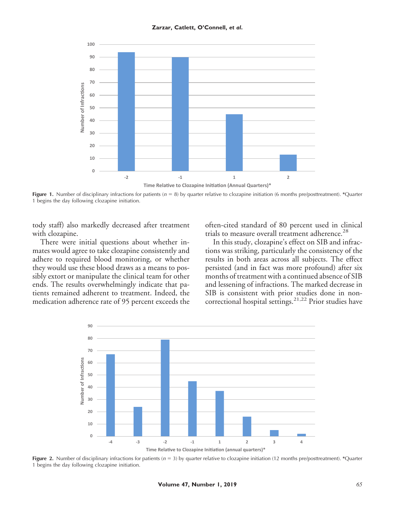

**Figure 1.** Number of disciplinary infractions for patients (*n* = 8) by quarter relative to clozapine initiation (6 months pre/posttreatment). \*Quarter 1 begins the day following clozapine initiation.

tody staff) also markedly decreased after treatment with clozapine.

There were initial questions about whether inmates would agree to take clozapine consistently and adhere to required blood monitoring, or whether they would use these blood draws as a means to possibly extort or manipulate the clinical team for other ends. The results overwhelmingly indicate that patients remained adherent to treatment. Indeed, the medication adherence rate of 95 percent exceeds the often-cited standard of 80 percent used in clinical trials to measure overall treatment adherence.<sup>28</sup>

In this study, clozapine's effect on SIB and infractions was striking, particularly the consistency of the results in both areas across all subjects. The effect persisted (and in fact was more profound) after six months of treatment with a continued absence of SIB and lessening of infractions. The marked decrease in SIB is consistent with prior studies done in noncorrectional hospital settings.<sup>21,22</sup> Prior studies have



**Figure 2.** Number of disciplinary infractions for patients (*n* = 3) by quarter relative to clozapine initiation (12 months pre/posttreatment). *\**Quarter 1 begins the day following clozapine initiation.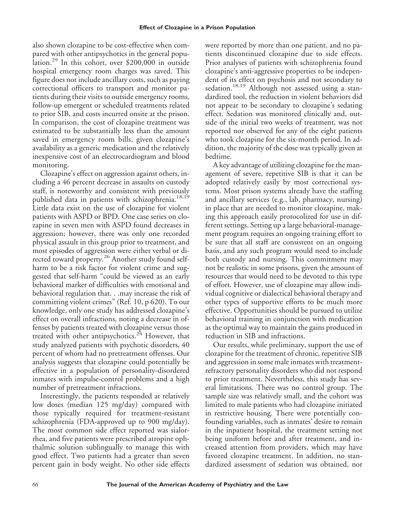also shown clozapine to be cost-effective when compared with other antipsychotics in the general population.<sup>29</sup> In this cohort, over \$200,000 in outside hospital emergency room charges was saved. This figure does not include ancillary costs, such as paying correctional officers to transport and monitor patients during their visits to outside emergency rooms, follow-up emergent or scheduled treatments related to prior SIB, and costs incurred onsite at the prison. In comparison, the cost of clozapine treatment was estimated to be substantially less than the amount saved in emergency room bills, given clozapine's availability as a generic medication and the relatively inexpensive cost of an electrocardiogram and blood monitoring.

Clozapine's effect on aggression against others, including a 46 percent decrease in assaults on custody staff, is noteworthy and consistent with previously published data in patients with schizophrenia.<sup>18,19</sup> Little data exist on the use of clozapine for violent patients with ASPD or BPD. One case series on clozapine in seven men with ASPD found decreases in aggression; however, there was only one recorded physical assault in this group prior to treatment, and most episodes of aggression were either verbal or directed toward property.<sup>26</sup> Another study found selfharm to be a risk factor for violent crime and suggested that self-harm "could be viewed as an early behavioral marker of difficulties with emotional and behavioral regulation that. . .may increase the risk of committing violent crimes" (Ref. 10, p 620). To our knowledge, only one study has addressed clozapine's effect on overall infractions, noting a decrease in offenses by patients treated with clozapine versus those treated with other antipsychotics. $24$  However, that study analyzed patients with psychotic disorders, 40 percent of whom had no pretreatment offenses. Our analysis suggests that clozapine could potentially be effective in a population of personality-disordered inmates with impulse-control problems and a high number of pretreatment infractions.

Interestingly, the patients responded at relatively low doses (median 125 mg/day) compared with those typically required for treatment-resistant schizophrenia (FDA-approved up to 900 mg/day). The most common side effect reported was sialorrhea, and five patients were prescribed atropine ophthalmic solution sublingually to manage this with good effect. Two patients had a greater than seven percent gain in body weight. No other side effects

were reported by more than one patient, and no patients discontinued clozapine due to side effects. Prior analyses of patients with schizophrenia found clozapine's anti-aggressive properties to be independent of its effect on psychosis and not secondary to sedation.<sup>18,19</sup> Although not assessed using a standardized tool, the reduction in violent behaviors did not appear to be secondary to clozapine's sedating effect. Sedation was monitored clinically and, outside of the initial two weeks of treatment, was not reported nor observed for any of the eight patients who took clozapine for the six-month period. In addition, the majority of the dose was typically given at bedtime.

A key advantage of utilizing clozapine for the management of severe, repetitive SIB is that it can be adopted relatively easily by most correctional systems. Most prison systems already have the staffing and ancillary services (e.g., lab, pharmacy, nursing) in place that are needed to monitor clozapine, making this approach easily protocolized for use in different settings. Setting up a large behavioral-management program requires an ongoing training effort to be sure that all staff are consistent on an ongoing basis, and any such program would need to include both custody and nursing. This commitment may not be realistic in some prisons, given the amount of resources that would need to be devoted to this type of effort. However, use of clozapine may allow individual cognitive or dialectical behavioral therapy and other types of supportive efforts to be much more effective. Opportunities should be pursued to utilize behavioral training in conjunction with medication as the optimal way to maintain the gains produced in reduction in SIB and infractions.

Our results, while preliminary, support the use of clozapine for the treatment of chronic, repetitive SIB and aggression in some male inmates with treatmentrefractory personality disorders who did not respond to prior treatment. Nevertheless, this study has several limitations. There was no control group. The sample size was relatively small, and the cohort was limited to male patients who had clozapine initiated in restrictive housing. There were potentially confounding variables, such as inmates' desire to remain in the inpatient hospital, the treatment setting not being uniform before and after treatment, and increased attention from providers, which may have favored clozapine treatment. In addition, no standardized assessment of sedation was obtained, nor